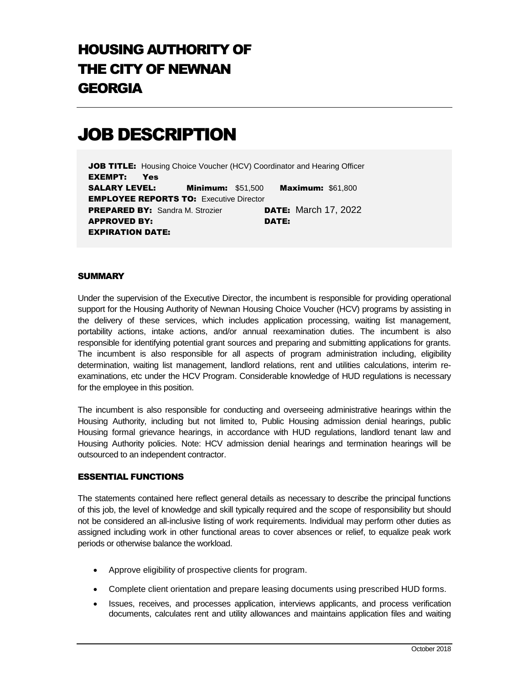## HOUSING AUTHORITY OF THE CITY OF NEWNAN GEORGIA

# JOB DESCRIPTION

**JOB TITLE:** Housing Choice Voucher (HCV) Coordinator and Hearing Officer EXEMPT: Yes SALARY LEVEL: Minimum: \$51,500 Maximum: \$61,800 **EMPLOYEE REPORTS TO: Executive Director PREPARED BY:** Sandra M. Strozier **DATE:** March 17, 2022 APPROVED BY: DATE: EXPIRATION DATE:

## **SUMMARY**

Under the supervision of the Executive Director, the incumbent is responsible for providing operational support for the Housing Authority of Newnan Housing Choice Voucher (HCV) programs by assisting in the delivery of these services, which includes application processing, waiting list management, portability actions, intake actions, and/or annual reexamination duties. The incumbent is also responsible for identifying potential grant sources and preparing and submitting applications for grants. The incumbent is also responsible for all aspects of program administration including, eligibility determination, waiting list management, landlord relations, rent and utilities calculations, interim reexaminations, etc under the HCV Program. Considerable knowledge of HUD regulations is necessary for the employee in this position.

The incumbent is also responsible for conducting and overseeing administrative hearings within the Housing Authority, including but not limited to, Public Housing admission denial hearings, public Housing formal grievance hearings, in accordance with HUD regulations, landlord tenant law and Housing Authority policies. Note: HCV admission denial hearings and termination hearings will be outsourced to an independent contractor.

#### ESSENTIAL FUNCTIONS

The statements contained here reflect general details as necessary to describe the principal functions of this job, the level of knowledge and skill typically required and the scope of responsibility but should not be considered an all-inclusive listing of work requirements. Individual may perform other duties as assigned including work in other functional areas to cover absences or relief, to equalize peak work periods or otherwise balance the workload.

- Approve eligibility of prospective clients for program.
- Complete client orientation and prepare leasing documents using prescribed HUD forms.
- Issues, receives, and processes application, interviews applicants, and process verification documents, calculates rent and utility allowances and maintains application files and waiting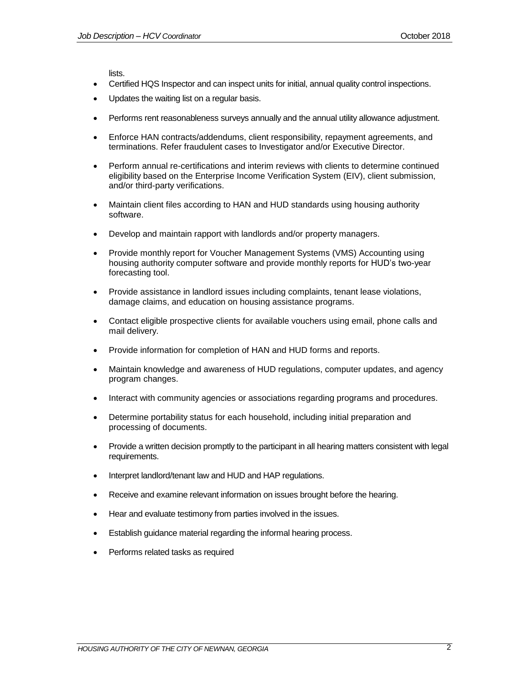lists.

- Certified HQS Inspector and can inspect units for initial, annual quality control inspections.
- Updates the waiting list on a regular basis.
- Performs rent reasonableness surveys annually and the annual utility allowance adjustment.
- Enforce HAN contracts/addendums, client responsibility, repayment agreements, and terminations. Refer fraudulent cases to Investigator and/or Executive Director.
- Perform annual re-certifications and interim reviews with clients to determine continued eligibility based on the Enterprise Income Verification System (EIV), client submission, and/or third-party verifications.
- Maintain client files according to HAN and HUD standards using housing authority software.
- Develop and maintain rapport with landlords and/or property managers.
- Provide monthly report for Voucher Management Systems (VMS) Accounting using housing authority computer software and provide monthly reports for HUD's two-year forecasting tool.
- Provide assistance in landlord issues including complaints, tenant lease violations, damage claims, and education on housing assistance programs.
- Contact eligible prospective clients for available vouchers using email, phone calls and mail delivery.
- Provide information for completion of HAN and HUD forms and reports.
- Maintain knowledge and awareness of HUD regulations, computer updates, and agency program changes.
- Interact with community agencies or associations regarding programs and procedures.
- Determine portability status for each household, including initial preparation and processing of documents.
- Provide a written decision promptly to the participant in all hearing matters consistent with legal requirements.
- Interpret landlord/tenant law and HUD and HAP regulations.
- Receive and examine relevant information on issues brought before the hearing.
- Hear and evaluate testimony from parties involved in the issues.
- Establish guidance material regarding the informal hearing process.
- Performs related tasks as required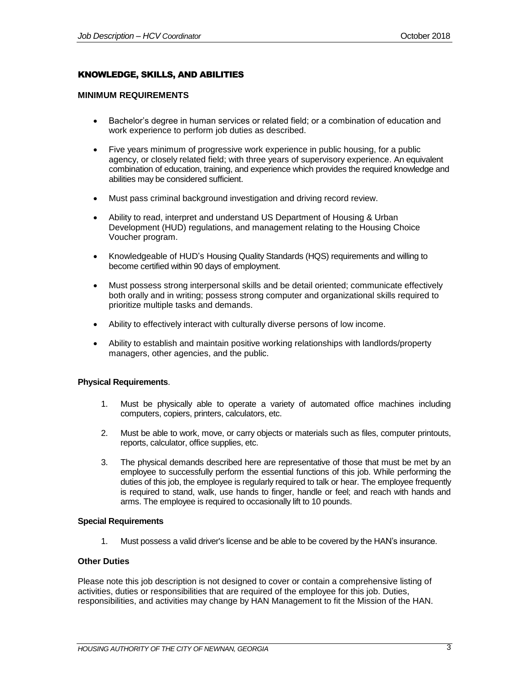## KNOWLEDGE, SKILLS, AND ABILITIES

#### **MINIMUM REQUIREMENTS**

- Bachelor's degree in human services or related field; or a combination of education and work experience to perform job duties as described.
- Five years minimum of progressive work experience in public housing, for a public agency, or closely related field; with three years of supervisory experience. An equivalent combination of education, training, and experience which provides the required knowledge and abilities may be considered sufficient.
- Must pass criminal background investigation and driving record review.
- Ability to read, interpret and understand US Department of Housing & Urban Development (HUD) regulations, and management relating to the Housing Choice Voucher program.
- Knowledgeable of HUD's Housing Quality Standards (HQS) requirements and willing to become certified within 90 days of employment.
- Must possess strong interpersonal skills and be detail oriented; communicate effectively both orally and in writing; possess strong computer and organizational skills required to prioritize multiple tasks and demands.
- Ability to effectively interact with culturally diverse persons of low income.
- Ability to establish and maintain positive working relationships with landlords/property managers, other agencies, and the public.

#### **Physical Requirements**.

- 1. Must be physically able to operate a variety of automated office machines including computers, copiers, printers, calculators, etc.
- 2. Must be able to work, move, or carry objects or materials such as files, computer printouts, reports, calculator, office supplies, etc.
- 3. The physical demands described here are representative of those that must be met by an employee to successfully perform the essential functions of this job. While performing the duties of this job, the employee is regularly required to talk or hear. The employee frequently is required to stand, walk, use hands to finger, handle or feel; and reach with hands and arms. The employee is required to occasionally lift to 10 pounds.

#### **Special Requirements**

1. Must possess a valid driver's license and be able to be covered by the HAN's insurance.

#### **Other Duties**

Please note this job description is not designed to cover or contain a comprehensive listing of activities, duties or responsibilities that are required of the employee for this job. Duties, responsibilities, and activities may change by HAN Management to fit the Mission of the HAN.